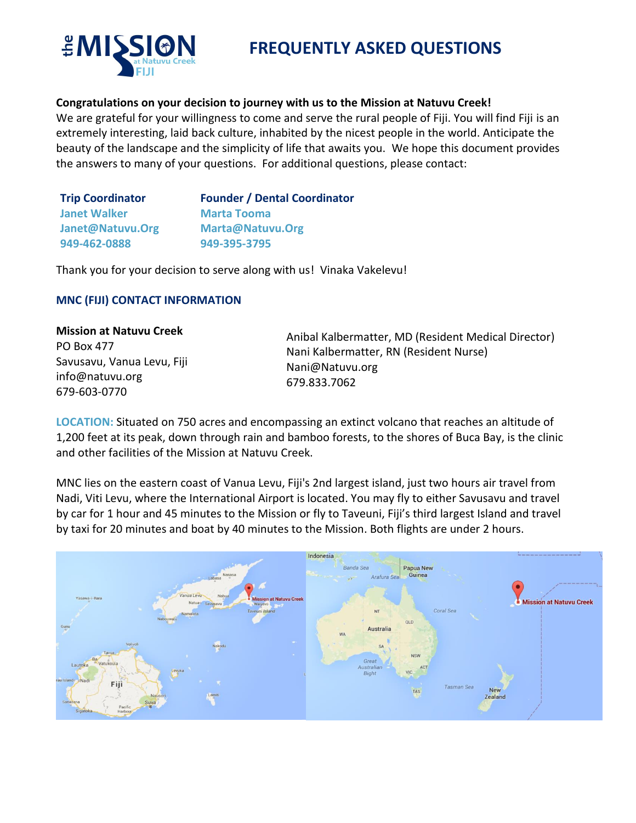

# **FREQUENTLY ASKED QUESTIONS**

## **Congratulations on your decision to journey with us to the Mission at Natuvu Creek!**

We are grateful for your willingness to come and serve the rural people of Fiji. You will find Fiji is an extremely interesting, laid back culture, inhabited by the nicest people in the world. Anticipate the beauty of the landscape and the simplicity of life that awaits you. We hope this document provides the answers to many of your questions. For additional questions, please contact:

| <b>Founder / Dental Coordinator</b> |
|-------------------------------------|
| <b>Marta Tooma</b>                  |
| Marta@Natuvu.Org                    |
| 949-395-3795                        |
|                                     |

Thank you for your decision to serve along with us! Vinaka Vakelevu!

## **MNC (FIJI) CONTACT INFORMATION**

**Mission at Natuvu Creek**  PO Box 477 Savusavu, Vanua Levu, Fiji info@natuvu.org 679-603-0770

Anibal Kalbermatter, MD (Resident Medical Director) Nani Kalbermatter, RN (Resident Nurse) [Nani@Natuvu.org](mailto:Nani@Natuvu.org) 679.833.7062

**LOCATION:** Situated on 750 acres and encompassing an extinct volcano that reaches an altitude of 1,200 feet at its peak, down through rain and bamboo forests, to the shores of Buca Bay, is the clinic and other facilities of the Mission at Natuvu Creek.

MNC lies on the eastern coast of Vanua Levu, Fiji's 2nd largest island, just two hours air travel from Nadi, Viti Levu, where the International Airport is located. You may fly to either Savusavu and travel by car for 1 hour and 45 minutes to the Mission or fly to Taveuni, Fiji's third largest Island and travel by taxi for 20 minutes and boat by 40 minutes to the Mission. Both flights are under 2 hours.

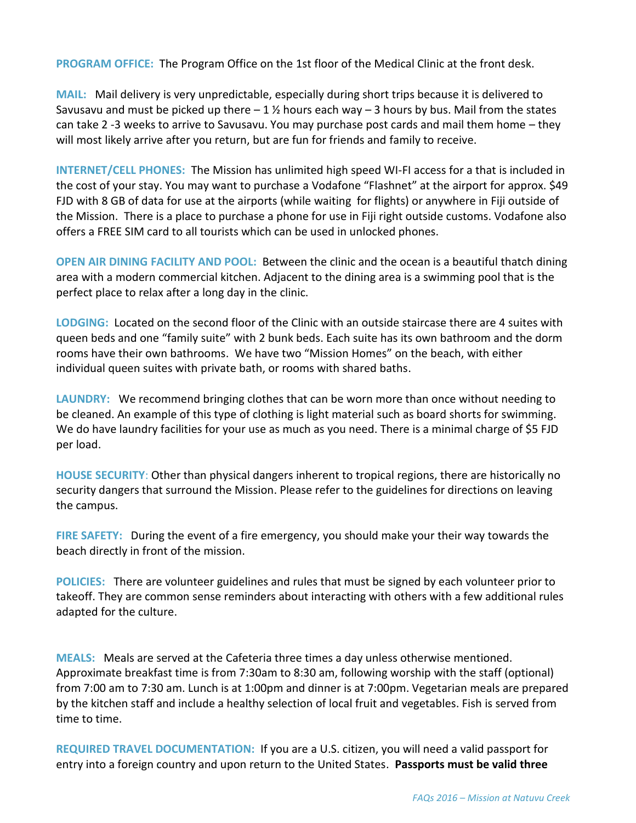**PROGRAM OFFICE:** The Program Office on the 1st floor of the Medical Clinic at the front desk.

**MAIL:** Mail delivery is very unpredictable, especially during short trips because it is delivered to Savusavu and must be picked up there  $-1 \frac{1}{2}$  hours each way  $-3$  hours by bus. Mail from the states can take 2 -3 weeks to arrive to Savusavu. You may purchase post cards and mail them home – they will most likely arrive after you return, but are fun for friends and family to receive.

**INTERNET/CELL PHONES:** The Mission has unlimited high speed WI-FI access for a that is included in the cost of your stay. You may want to purchase a Vodafone "Flashnet" at the airport for approx. \$49 FJD with 8 GB of data for use at the airports (while waiting for flights) or anywhere in Fiji outside of the Mission. There is a place to purchase a phone for use in Fiji right outside customs. Vodafone also offers a FREE SIM card to all tourists which can be used in unlocked phones.

**OPEN AIR DINING FACILITY AND POOL:** Between the clinic and the ocean is a beautiful thatch dining area with a modern commercial kitchen. Adjacent to the dining area is a swimming pool that is the perfect place to relax after a long day in the clinic.

**LODGING:** Located on the second floor of the Clinic with an outside staircase there are 4 suites with queen beds and one "family suite" with 2 bunk beds. Each suite has its own bathroom and the dorm rooms have their own bathrooms. We have two "Mission Homes" on the beach, with either individual queen suites with private bath, or rooms with shared baths.

**LAUNDRY:** We recommend bringing clothes that can be worn more than once without needing to be cleaned. An example of this type of clothing is light material such as board shorts for swimming. We do have laundry facilities for your use as much as you need. There is a minimal charge of \$5 FJD per load.

**HOUSE SECURITY**: Other than physical dangers inherent to tropical regions, there are historically no security dangers that surround the Mission. Please refer to the guidelines for directions on leaving the campus.

**FIRE SAFETY:** During the event of a fire emergency, you should make your their way towards the beach directly in front of the mission.

**POLICIES:** There are volunteer guidelines and rules that must be signed by each volunteer prior to takeoff. They are common sense reminders about interacting with others with a few additional rules adapted for the culture.

**MEALS:** Meals are served at the Cafeteria three times a day unless otherwise mentioned. Approximate breakfast time is from 7:30am to 8:30 am, following worship with the staff (optional) from 7:00 am to 7:30 am. Lunch is at 1:00pm and dinner is at 7:00pm. Vegetarian meals are prepared by the kitchen staff and include a healthy selection of local fruit and vegetables. Fish is served from time to time.

**REQUIRED TRAVEL DOCUMENTATION:** If you are a U.S. citizen, you will need a valid passport for entry into a foreign country and upon return to the United States. **Passports must be valid three**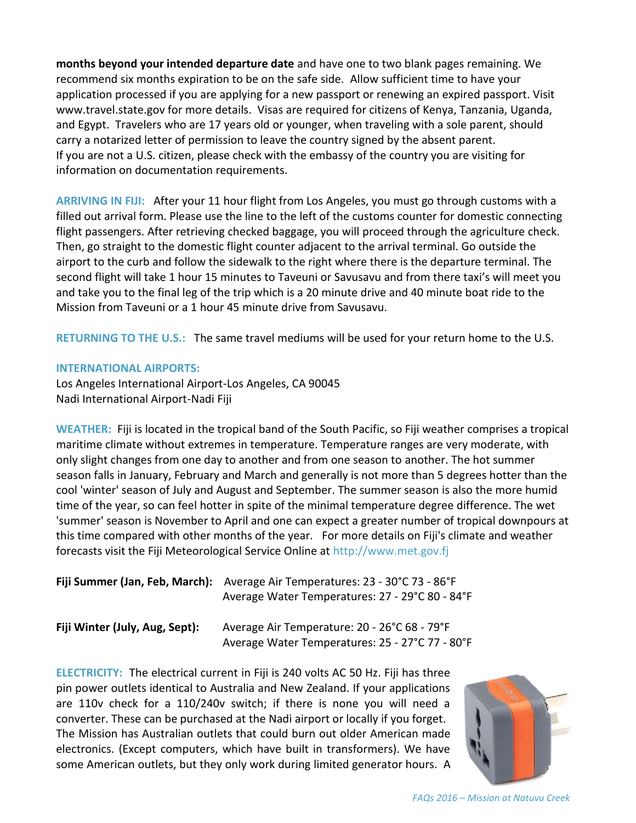**months beyond your intended departure date** and have one to two blank pages remaining. We recommend six months expiration to be on the safe side. Allow sufficient time to have your application processed if you are applying for a new passport or renewing an expired passport. Visit www.travel.state.gov for more details. Visas are required for citizens of Kenya, Tanzania, Uganda, and Egypt. Travelers who are 17 years old or younger, when traveling with a sole parent, should carry a notarized letter of permission to leave the country signed by the absent parent. If you are not a U.S. citizen, please check with the embassy of the country you are visiting for information on documentation requirements.

**ARRIVING IN FIJI:** After your 11 hour flight from Los Angeles, you must go through customs with a filled out arrival form. Please use the line to the left of the customs counter for domestic connecting flight passengers. After retrieving checked baggage, you will proceed through the agriculture check. Then, go straight to the domestic flight counter adjacent to the arrival terminal. Go outside the airport to the curb and follow the sidewalk to the right where there is the departure terminal. The second flight will take 1 hour 15 minutes to Taveuni or Savusavu and from there taxi's will meet you and take you to the final leg of the trip which is a 20 minute drive and 40 minute boat ride to the Mission from Taveuni or a 1 hour 45 minute drive from Savusavu.

**RETURNING TO THE U.S.:** The same travel mediums will be used for your return home to the U.S.

## **INTERNATIONAL AIRPORTS:**

Los Angeles International Airport-Los Angeles, CA 90045 Nadi International Airport-Nadi Fiji

**WEATHER:** Fiji is located in the tropical band of the South Pacific, so Fiji weather comprises a tropical maritime climate without extremes in temperature. Temperature ranges are very moderate, with only slight changes from one day to another and from one season to another. The hot summer season falls in January, February and March and generally is not more than 5 degrees hotter than the cool 'winter' season of July and August and September. The summer season is also the more humid time of the year, so can feel hotter in spite of the minimal temperature degree difference. The wet 'summer' season is November to April and one can expect a greater number of tropical downpours at this time compared with other months of the year. For more details on Fiji's climate and weather forecasts visit the Fiji Meteorological Service Online at http://www.met.gov.fj

|                                | Fiji Summer (Jan, Feb, March): Average Air Temperatures: 23 - 30°C 73 - 86°F |  |
|--------------------------------|------------------------------------------------------------------------------|--|
|                                | Average Water Temperatures: 27 - 29°C 80 - 84°F                              |  |
| Fiji Winter (July, Aug, Sept): | Average Air Temperature: 20 - 26°C 68 - 79°F                                 |  |

Average Water Temperatures: 25 - 27°C 77 - 80°F

**ELECTRICITY:** The electrical current in Fiji is 240 volts AC 50 Hz. Fiji has three pin power outlets identical to Australia and New Zealand. If your applications are 110v check for a 110/240v switch; if there is none you will need a converter. These can be purchased at the Nadi airport or locally if you forget. The Mission has Australian outlets that could burn out older American made electronics. (Except computers, which have built in transformers). We have some American outlets, but they only work during limited generator hours. A



*FAQs 2016 – Mission at Natuvu Creek*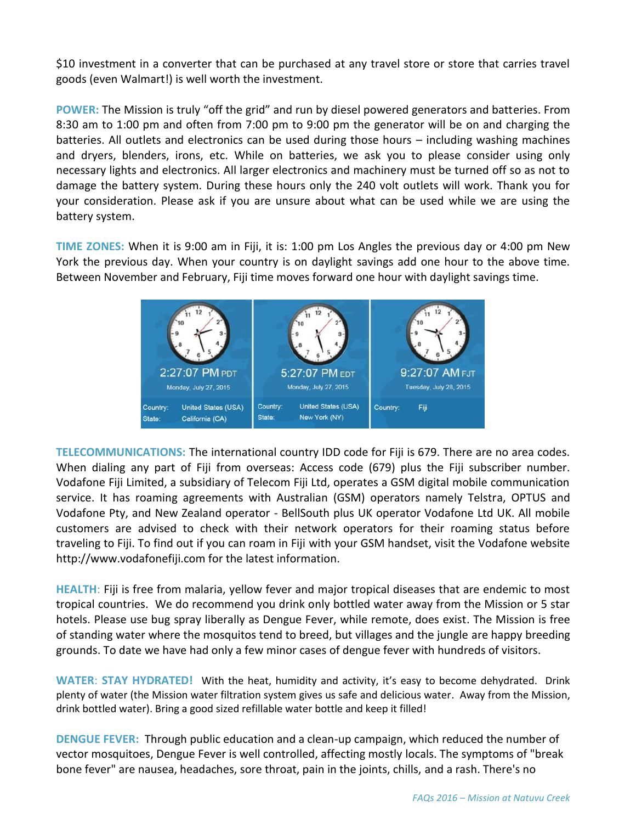\$10 investment in a converter that can be purchased at any travel store or store that carries travel goods (even Walmart!) is well worth the investment.

**POWER:** The Mission is truly "off the grid" and run by diesel powered generators and batteries. From 8:30 am to 1:00 pm and often from 7:00 pm to 9:00 pm the generator will be on and charging the batteries. All outlets and electronics can be used during those hours – including washing machines and dryers, blenders, irons, etc. While on batteries, we ask you to please consider using only necessary lights and electronics. All larger electronics and machinery must be turned off so as not to damage the battery system. During these hours only the 240 volt outlets will work. Thank you for your consideration. Please ask if you are unsure about what can be used while we are using the battery system.

**TIME ZONES:** When it is 9:00 am in Fiji, it is: 1:00 pm Los Angles the previous day or 4:00 pm New York the previous day. When your country is on daylight savings add one hour to the above time. Between November and February, Fiji time moves forward one hour with daylight savings time.



**TELECOMMUNICATIONS:** The international country IDD code for Fiji is 679. There are no area codes. When dialing any part of Fiji from overseas: Access code (679) plus the Fiji subscriber number. Vodafone Fiji Limited, a subsidiary of Telecom Fiji Ltd, operates a GSM digital mobile communication service. It has roaming agreements with Australian (GSM) operators namely Telstra, OPTUS and Vodafone Pty, and New Zealand operator - BellSouth plus UK operator Vodafone Ltd UK. All mobile customers are advised to check with their network operators for their roaming status before traveling to Fiji. To find out if you can roam in Fiji with your GSM handset, visit the Vodafone website http://www.vodafonefiji.com for the latest information.

**HEALTH**: Fiji is free from malaria, yellow fever and major tropical diseases that are endemic to most tropical countries. We do recommend you drink only bottled water away from the Mission or 5 star hotels. Please use bug spray liberally as Dengue Fever, while remote, does exist. The Mission is free of standing water where the mosquitos tend to breed, but villages and the jungle are happy breeding grounds. To date we have had only a few minor cases of dengue fever with hundreds of visitors.

**WATER**: **STAY HYDRATED!** With the heat, humidity and activity, it's easy to become dehydrated. Drink plenty of water (the Mission water filtration system gives us safe and delicious water. Away from the Mission, drink bottled water). Bring a good sized refillable water bottle and keep it filled!

**DENGUE FEVER:** Through public education and a clean-up campaign, which reduced the number of vector mosquitoes, Dengue Fever is well controlled, affecting mostly locals. The symptoms of "break bone fever" are nausea, headaches, sore throat, pain in the joints, chills, and a rash. There's no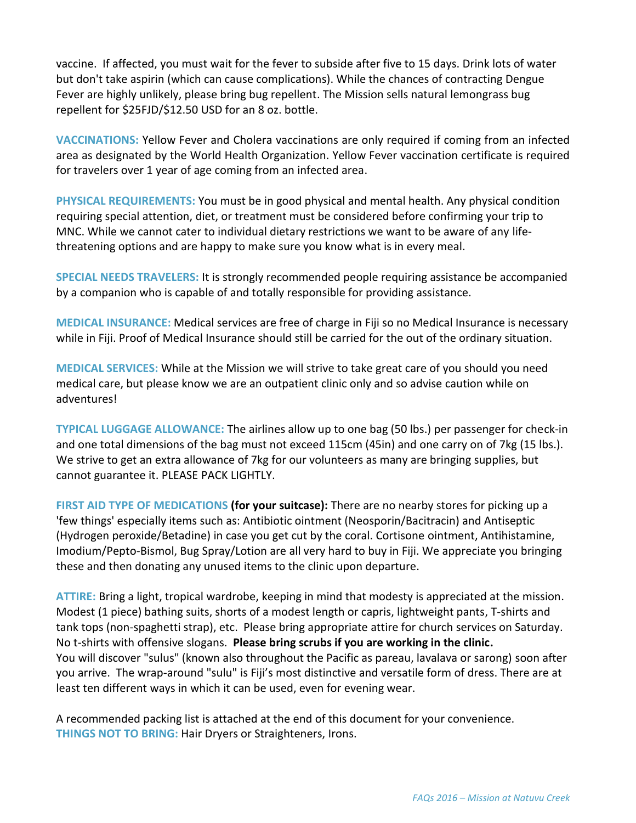vaccine. If affected, you must wait for the fever to subside after five to 15 days. Drink lots of water but don't take aspirin (which can cause complications). While the chances of contracting Dengue Fever are highly unlikely, please bring bug repellent. The Mission sells natural lemongrass bug repellent for \$25FJD/\$12.50 USD for an 8 oz. bottle.

**VACCINATIONS:** Yellow Fever and Cholera vaccinations are only required if coming from an infected area as designated by the World Health Organization. Yellow Fever vaccination certificate is required for travelers over 1 year of age coming from an infected area.

**PHYSICAL REQUIREMENTS:** You must be in good physical and mental health. Any physical condition requiring special attention, diet, or treatment must be considered before confirming your trip to MNC. While we cannot cater to individual dietary restrictions we want to be aware of any lifethreatening options and are happy to make sure you know what is in every meal.

**SPECIAL NEEDS TRAVELERS:** It is strongly recommended people requiring assistance be accompanied by a companion who is capable of and totally responsible for providing assistance.

**MEDICAL INSURANCE:** Medical services are free of charge in Fiji so no Medical Insurance is necessary while in Fiji. Proof of Medical Insurance should still be carried for the out of the ordinary situation.

**MEDICAL SERVICES:** While at the Mission we will strive to take great care of you should you need medical care, but please know we are an outpatient clinic only and so advise caution while on adventures!

**TYPICAL LUGGAGE ALLOWANCE:** The airlines allow up to one bag (50 lbs.) per passenger for check-in and one total dimensions of the bag must not exceed 115cm (45in) and one carry on of 7kg (15 lbs.). We strive to get an extra allowance of 7kg for our volunteers as many are bringing supplies, but cannot guarantee it. PLEASE PACK LIGHTLY.

**FIRST AID TYPE OF MEDICATIONS (for your suitcase):** There are no nearby stores for picking up a 'few things' especially items such as: Antibiotic ointment (Neosporin/Bacitracin) and Antiseptic (Hydrogen peroxide/Betadine) in case you get cut by the coral. Cortisone ointment, Antihistamine, Imodium/Pepto-Bismol, Bug Spray/Lotion are all very hard to buy in Fiji. We appreciate you bringing these and then donating any unused items to the clinic upon departure.

**ATTIRE:** Bring a light, tropical wardrobe, keeping in mind that modesty is appreciated at the mission. Modest (1 piece) bathing suits, shorts of a modest length or capris, lightweight pants, T-shirts and tank tops (non-spaghetti strap), etc. Please bring appropriate attire for church services on Saturday. No t-shirts with offensive slogans. **Please bring scrubs if you are working in the clinic.** You will discover "sulus" (known also throughout the Pacific as pareau, lavalava or sarong) soon after you arrive. The wrap-around "sulu" is Fiji's most distinctive and versatile form of dress. There are at least ten different ways in which it can be used, even for evening wear.

A recommended packing list is attached at the end of this document for your convenience. **THINGS NOT TO BRING:** Hair Dryers or Straighteners, Irons.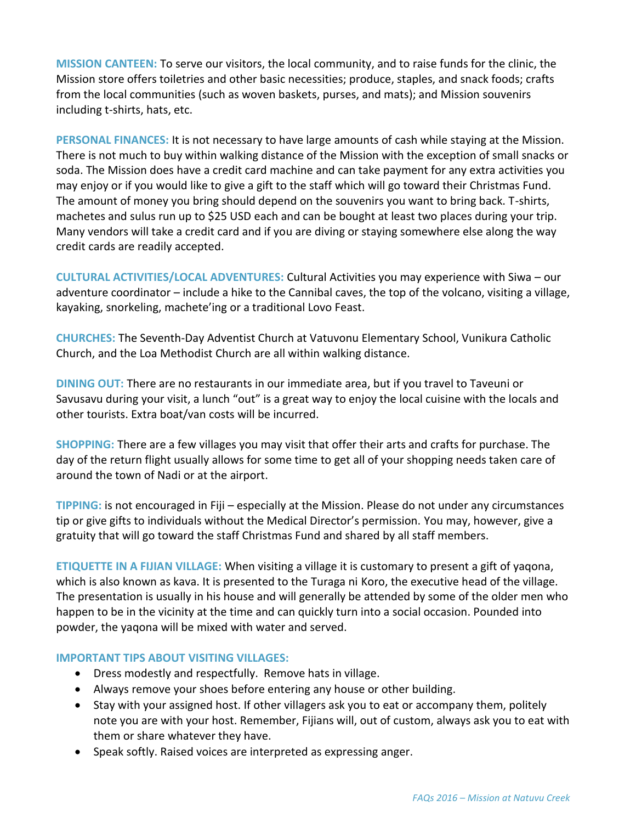**MISSION CANTEEN:** To serve our visitors, the local community, and to raise funds for the clinic, the Mission store offers toiletries and other basic necessities; produce, staples, and snack foods; crafts from the local communities (such as woven baskets, purses, and mats); and Mission souvenirs including t-shirts, hats, etc.

**PERSONAL FINANCES:** It is not necessary to have large amounts of cash while staying at the Mission. There is not much to buy within walking distance of the Mission with the exception of small snacks or soda. The Mission does have a credit card machine and can take payment for any extra activities you may enjoy or if you would like to give a gift to the staff which will go toward their Christmas Fund. The amount of money you bring should depend on the souvenirs you want to bring back. T-shirts, machetes and sulus run up to \$25 USD each and can be bought at least two places during your trip. Many vendors will take a credit card and if you are diving or staying somewhere else along the way credit cards are readily accepted.

**CULTURAL ACTIVITIES/LOCAL ADVENTURES:** Cultural Activities you may experience with Siwa – our adventure coordinator – include a hike to the Cannibal caves, the top of the volcano, visiting a village, kayaking, snorkeling, machete'ing or a traditional Lovo Feast.

**CHURCHES:** The Seventh-Day Adventist Church at Vatuvonu Elementary School, Vunikura Catholic Church, and the Loa Methodist Church are all within walking distance.

**DINING OUT:** There are no restaurants in our immediate area, but if you travel to Taveuni or Savusavu during your visit, a lunch "out" is a great way to enjoy the local cuisine with the locals and other tourists. Extra boat/van costs will be incurred.

**SHOPPING:** There are a few villages you may visit that offer their arts and crafts for purchase. The day of the return flight usually allows for some time to get all of your shopping needs taken care of around the town of Nadi or at the airport.

**TIPPING:** is not encouraged in Fiji – especially at the Mission. Please do not under any circumstances tip or give gifts to individuals without the Medical Director's permission. You may, however, give a gratuity that will go toward the staff Christmas Fund and shared by all staff members.

**ETIQUETTE IN A FIJIAN VILLAGE:** When visiting a village it is customary to present a gift of yaqona, which is also known as kava. It is presented to the Turaga ni Koro, the executive head of the village. The presentation is usually in his house and will generally be attended by some of the older men who happen to be in the vicinity at the time and can quickly turn into a social occasion. Pounded into powder, the yaqona will be mixed with water and served.

## **IMPORTANT TIPS ABOUT VISITING VILLAGES:**

- Dress modestly and respectfully. Remove hats in village.
- Always remove your shoes before entering any house or other building.
- Stay with your assigned host. If other villagers ask you to eat or accompany them, politely note you are with your host. Remember, Fijians will, out of custom, always ask you to eat with them or share whatever they have.
- Speak softly. Raised voices are interpreted as expressing anger.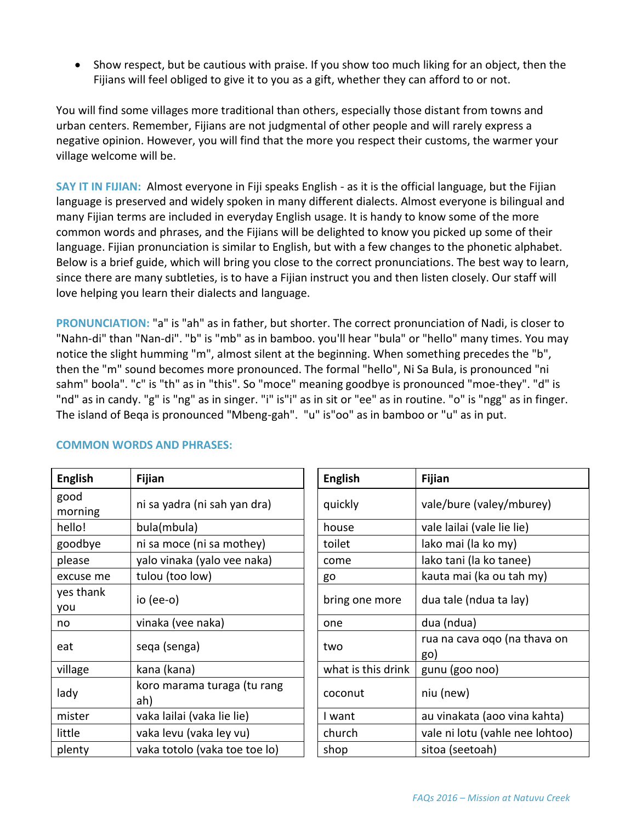Show respect, but be cautious with praise. If you show too much liking for an object, then the Fijians will feel obliged to give it to you as a gift, whether they can afford to or not.

You will find some villages more traditional than others, especially those distant from towns and urban centers. Remember, Fijians are not judgmental of other people and will rarely express a negative opinion. However, you will find that the more you respect their customs, the warmer your village welcome will be.

**SAY IT IN FIJIAN:** Almost everyone in Fiji speaks English - as it is the official language, but the Fijian language is preserved and widely spoken in many different dialects. Almost everyone is bilingual and many Fijian terms are included in everyday English usage. It is handy to know some of the more common words and phrases, and the Fijians will be delighted to know you picked up some of their language. Fijian pronunciation is similar to English, but with a few changes to the phonetic alphabet. Below is a brief guide, which will bring you close to the correct pronunciations. The best way to learn, since there are many subtleties, is to have a Fijian instruct you and then listen closely. Our staff will love helping you learn their dialects and language.

**PRONUNCIATION:** "a" is "ah" as in father, but shorter. The correct pronunciation of Nadi, is closer to "Nahn-di" than "Nan-di". "b" is "mb" as in bamboo. you'll hear "bula" or "hello" many times. You may notice the slight humming "m", almost silent at the beginning. When something precedes the "b", then the "m" sound becomes more pronounced. The formal "hello", Ni Sa Bula, is pronounced "ni sahm" boola". "c" is "th" as in "this". So "moce" meaning goodbye is pronounced "moe-they". "d" is "nd" as in candy. "g" is "ng" as in singer. "i" is"i" as in sit or "ee" as in routine. "o" is "ngg" as in finger. The island of Beqa is pronounced "Mbeng-gah". "u" is"oo" as in bamboo or "u" as in put.

| <b>English</b>   | <b>Fijian</b>                      | <b>English</b>     | <b>Fijian</b>                       |
|------------------|------------------------------------|--------------------|-------------------------------------|
| good<br>morning  | ni sa yadra (ni sah yan dra)       | quickly            | vale/bure (valey/mburey)            |
| hello!           | bula(mbula)                        | house              | vale lailai (vale lie lie)          |
| goodbye          | ni sa moce (ni sa mothey)          | toilet             | lako mai (la ko my)                 |
| please           | yalo vinaka (yalo vee naka)        | come               | lako tani (la ko tanee)             |
| excuse me        | tulou (too low)                    | go                 | kauta mai (ka ou tah my)            |
| yes thank<br>you | io (ee-o)                          | bring one more     | dua tale (ndua ta lay)              |
| no               | vinaka (vee naka)                  | one                | dua (ndua)                          |
| eat              | sega (senga)                       | two                | rua na cava oqo (na thava on<br>go) |
| village          | kana (kana)                        | what is this drink | gunu (goo noo)                      |
| lady             | koro marama turaga (tu rang<br>ah) | coconut            | niu (new)                           |
| mister           | vaka lailai (vaka lie lie)         | I want             | au vinakata (aoo vina kahta)        |
| little           | vaka levu (vaka ley vu)            | church             | vale ni lotu (vahle nee lohtoo)     |
| plenty           | vaka totolo (vaka toe toe lo)      | shop               | sitoa (seetoah)                     |

## **COMMON WORDS AND PHRASES:**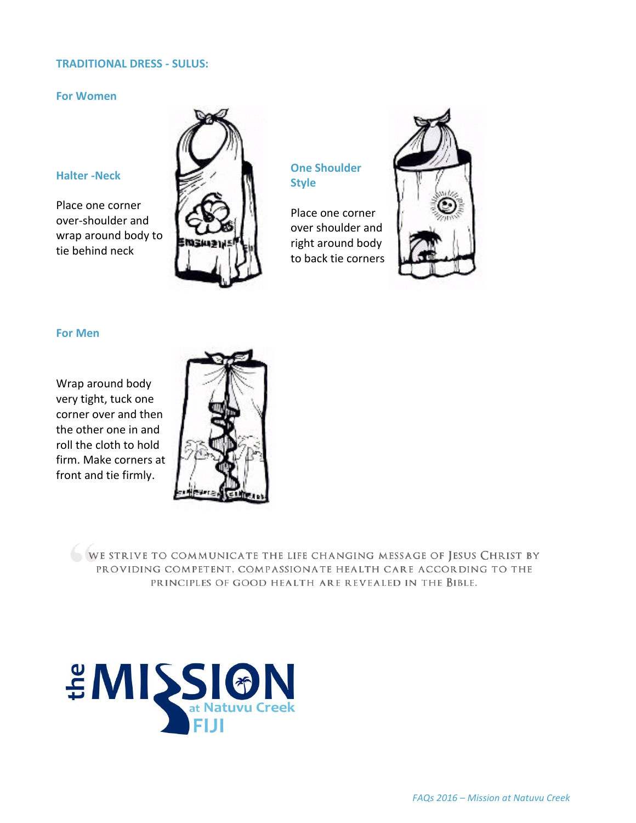#### **TRADITIONAL DRESS - SULUS:**

#### **For Women**

## **Halter -Neck**

Place one corner over-shoulder and wrap around body to tie behind neck



## **One Shoulder Style**

Place one corner over shoulder and right around body to back tie corners



#### **For Men**

Wrap around body very tight, tuck one corner over and then the other one in and roll the cloth to hold firm. Make corners at front and tie firmly.



WE STRIVE TO COMMUNICATE THE LIFE CHANGING MESSAGE OF JESUS CHRIST BY PROVIDING COMPETENT, COMPASSIONATE HEALTH CARE ACCORDING TO THE PRINCIPLES OF GOOD HEALTH ARE REVEALED IN THE BIBLE.